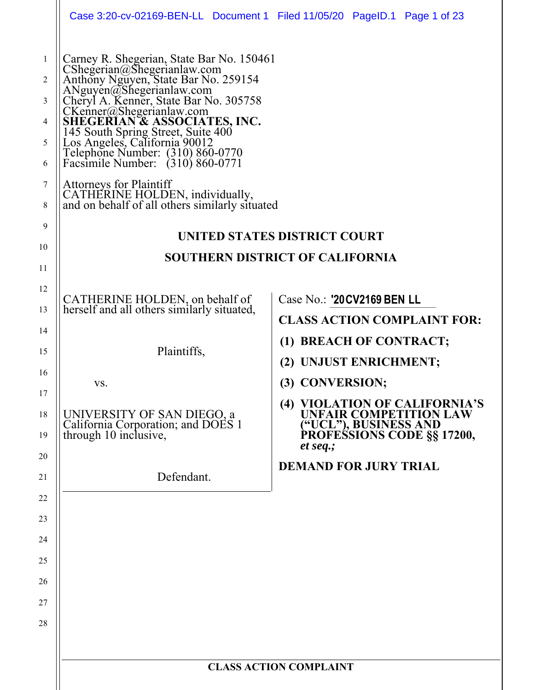|                                                 | Case 3:20-cv-02169-BEN-LL Document 1 Filed 11/05/20 PageID.1 Page 1 of 23                                                                                                                                                                                                                                                                                                                                                                                                                                                |                                                                                                                            |
|-------------------------------------------------|--------------------------------------------------------------------------------------------------------------------------------------------------------------------------------------------------------------------------------------------------------------------------------------------------------------------------------------------------------------------------------------------------------------------------------------------------------------------------------------------------------------------------|----------------------------------------------------------------------------------------------------------------------------|
| 1<br>2<br>3<br>4<br>5<br>6<br>7<br>8<br>9<br>10 | Carney R. Shegerian, State Bar No. 150461<br>CShegerian@Shegerianlaw.com<br>Anthony Nguyen, State Bar No. 259154<br>ANguyen@Shegerianlaw.com<br>Cheryl A. Kenner, State Bar No. 305758<br>CKenner@Shegerianlaw.com<br>SHEGERIAN & ASSOCIATES, INC.<br>145 South Spring Street, Suite 400<br>Los Angeles, California 90012<br>Telephone Number: (310) 860-0770<br>Facsimile Number: (310) 860-0771<br><b>Attorneys for Plaintiff</b><br>CATHERINE HOLDEN, individually,<br>and on behalf of all others similarly situated | UNITED STATES DISTRICT COURT                                                                                               |
| 11                                              |                                                                                                                                                                                                                                                                                                                                                                                                                                                                                                                          | <b>SOUTHERN DISTRICT OF CALIFORNIA</b>                                                                                     |
| 12                                              |                                                                                                                                                                                                                                                                                                                                                                                                                                                                                                                          |                                                                                                                            |
| 13                                              | CATHERINE HOLDEN, on behalf of<br>herself and all others similarly situated,                                                                                                                                                                                                                                                                                                                                                                                                                                             | Case No.: '20 CV 2169 BEN LL<br><b>CLASS ACTION COMPLAINT FOR:</b>                                                         |
| 14                                              |                                                                                                                                                                                                                                                                                                                                                                                                                                                                                                                          | (1) BREACH OF CONTRACT;                                                                                                    |
| 15                                              | Plaintiffs,                                                                                                                                                                                                                                                                                                                                                                                                                                                                                                              | (2) UNJUST ENRICHMENT;                                                                                                     |
| 16                                              | VS.                                                                                                                                                                                                                                                                                                                                                                                                                                                                                                                      | (3) CONVERSION;                                                                                                            |
| 17<br>18<br>19                                  | UNIVERSITY OF SAN DIEGO, a<br>California Corporation; and DOES 1<br>through 10 inclusive,                                                                                                                                                                                                                                                                                                                                                                                                                                | (4) VIOLATION OF CALIFORNIA'S<br>UNFAIR COMPETITION LAW<br>("UCL"), BUSINESS AND<br>PROFESSIONS CODE §§ 17200,<br>et seq.; |
| 20<br>21                                        | Defendant.                                                                                                                                                                                                                                                                                                                                                                                                                                                                                                               | <b>DEMAND FOR JURY TRIAL</b>                                                                                               |
| 22                                              |                                                                                                                                                                                                                                                                                                                                                                                                                                                                                                                          |                                                                                                                            |
| 23                                              |                                                                                                                                                                                                                                                                                                                                                                                                                                                                                                                          |                                                                                                                            |
| 24                                              |                                                                                                                                                                                                                                                                                                                                                                                                                                                                                                                          |                                                                                                                            |
| 25                                              |                                                                                                                                                                                                                                                                                                                                                                                                                                                                                                                          |                                                                                                                            |
| 26                                              |                                                                                                                                                                                                                                                                                                                                                                                                                                                                                                                          |                                                                                                                            |
| 27<br>28                                        |                                                                                                                                                                                                                                                                                                                                                                                                                                                                                                                          |                                                                                                                            |
|                                                 |                                                                                                                                                                                                                                                                                                                                                                                                                                                                                                                          |                                                                                                                            |
|                                                 |                                                                                                                                                                                                                                                                                                                                                                                                                                                                                                                          | <b>CLASS ACTION COMPLAINT</b>                                                                                              |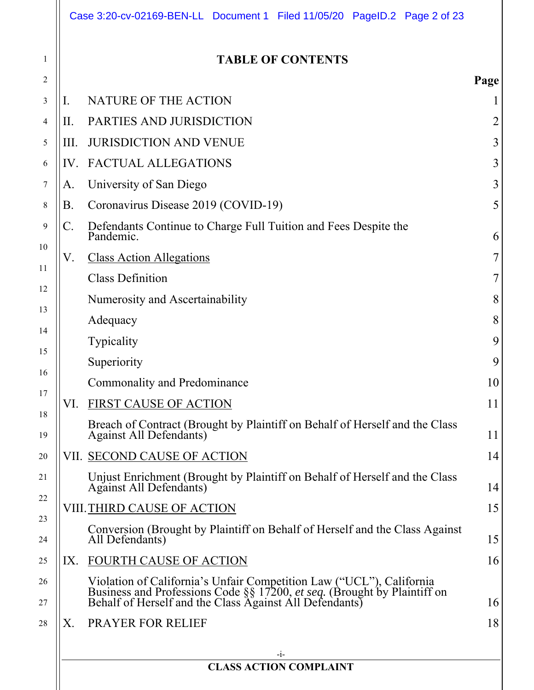|      | <b>TABLE OF CONTENTS</b>                                                                                                                                                                                             |      |
|------|----------------------------------------------------------------------------------------------------------------------------------------------------------------------------------------------------------------------|------|
|      |                                                                                                                                                                                                                      | Page |
| Ι.   | NATURE OF THE ACTION                                                                                                                                                                                                 |      |
| Н.   | PARTIES AND JURISDICTION                                                                                                                                                                                             |      |
| III. | <b>JURISDICTION AND VENUE</b>                                                                                                                                                                                        |      |
| IV.  | <b>FACTUAL ALLEGATIONS</b>                                                                                                                                                                                           |      |
| A.   | University of San Diego                                                                                                                                                                                              |      |
| В.   | Coronavirus Disease 2019 (COVID-19)                                                                                                                                                                                  |      |
| C.   | Defendants Continue to Charge Full Tuition and Fees Despite the<br>Pandemic.                                                                                                                                         |      |
| V.   | <b>Class Action Allegations</b>                                                                                                                                                                                      |      |
|      | <b>Class Definition</b>                                                                                                                                                                                              |      |
|      | Numerosity and Ascertainability                                                                                                                                                                                      |      |
|      | Adequacy                                                                                                                                                                                                             |      |
|      | Typicality                                                                                                                                                                                                           |      |
|      | Superiority                                                                                                                                                                                                          |      |
|      | <b>Commonality and Predominance</b>                                                                                                                                                                                  |      |
| VI.  | FIRST CAUSE OF ACTION                                                                                                                                                                                                |      |
|      | Breach of Contract (Brought by Plaintiff on Behalf of Herself and the Class<br>Against All Defendants)                                                                                                               |      |
|      | VII. SECOND CAUSE OF ACTION                                                                                                                                                                                          |      |
|      | Unjust Enrichment (Brought by Plaintiff on Behalf of Herself and the Class<br>Against All Defendants)                                                                                                                |      |
|      | VIII. THIRD CAUSE OF ACTION                                                                                                                                                                                          |      |
|      | Conversion (Brought by Plaintiff on Behalf of Herself and the Class Against<br>All Defendants)                                                                                                                       |      |
| IX.  | <b>FOURTH CAUSE OF ACTION</b>                                                                                                                                                                                        |      |
|      | Violation of California's Unfair Competition Law ("UCL"), California<br>Business and Professions Code $\S$ 17200, <i>et seq.</i> (Brought by Plaintiff on<br>Behalf of Herself and the Class Against All Defendants) |      |
| Х.   | PRAYER FOR RELIEF                                                                                                                                                                                                    |      |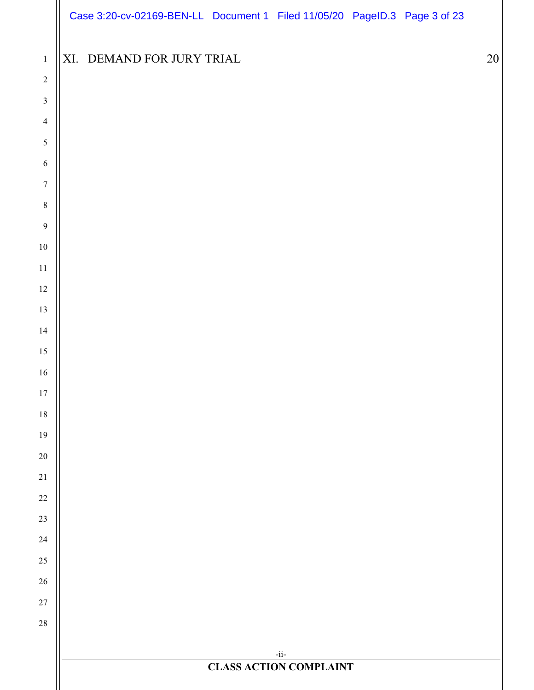|                  |                           |  | Case 3:20-cv-02169-BEN-LL Document 1 Filed 11/05/20 PageID.3 Page 3 of 23 |  |    |
|------------------|---------------------------|--|---------------------------------------------------------------------------|--|----|
| $\,1\,$          | XI. DEMAND FOR JURY TRIAL |  |                                                                           |  | 20 |
| $\sqrt{2}$       |                           |  |                                                                           |  |    |
| $\mathfrak{Z}$   |                           |  |                                                                           |  |    |
| $\overline{4}$   |                           |  |                                                                           |  |    |
| $\sqrt{5}$       |                           |  |                                                                           |  |    |
| $\sqrt{6}$       |                           |  |                                                                           |  |    |
| $\boldsymbol{7}$ |                           |  |                                                                           |  |    |
| $\,8\,$          |                           |  |                                                                           |  |    |
| $\overline{9}$   |                           |  |                                                                           |  |    |
| $10\,$           |                           |  |                                                                           |  |    |
| $11\,$           |                           |  |                                                                           |  |    |
| $12\,$           |                           |  |                                                                           |  |    |
| 13               |                           |  |                                                                           |  |    |
| $14\,$           |                           |  |                                                                           |  |    |
| $15\,$           |                           |  |                                                                           |  |    |
| $16\,$           |                           |  |                                                                           |  |    |
| $17\,$           |                           |  |                                                                           |  |    |
| $18\,$           |                           |  |                                                                           |  |    |
| $19\,$           |                           |  |                                                                           |  |    |
| $20\,$           |                           |  |                                                                           |  |    |
| $21\,$           |                           |  |                                                                           |  |    |
| $22\,$           |                           |  |                                                                           |  |    |
| $23\,$           |                           |  |                                                                           |  |    |
| $24\,$           |                           |  |                                                                           |  |    |
| $25\,$           |                           |  |                                                                           |  |    |
| $26\,$           |                           |  |                                                                           |  |    |
| $27\,$           |                           |  |                                                                           |  |    |
| $28\,$           |                           |  |                                                                           |  |    |
|                  |                           |  | $-i\mathrm{i}$                                                            |  |    |
|                  |                           |  | <b>CLASS ACTION COMPLAINT</b>                                             |  |    |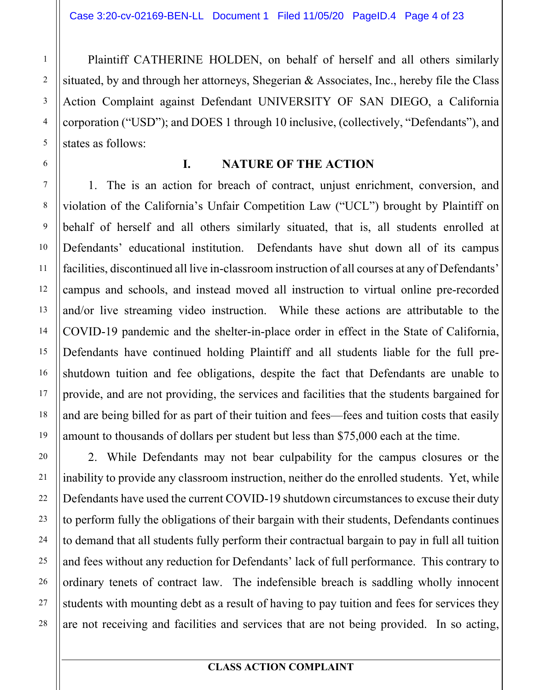Plaintiff CATHERINE HOLDEN, on behalf of herself and all others similarly situated, by and through her attorneys, Shegerian & Associates, Inc., hereby file the Class Action Complaint against Defendant UNIVERSITY OF SAN DIEGO, a California corporation ("USD"); and DOES 1 through 10 inclusive, (collectively, "Defendants"), and states as follows:

#### **I. NATURE OF THE ACTION**

1. The is an action for breach of contract, unjust enrichment, conversion, and violation of the California's Unfair Competition Law ("UCL") brought by Plaintiff on behalf of herself and all others similarly situated, that is, all students enrolled at Defendants' educational institution. Defendants have shut down all of its campus facilities, discontinued all live in-classroom instruction of all courses at any of Defendants' campus and schools, and instead moved all instruction to virtual online pre-recorded and/or live streaming video instruction. While these actions are attributable to the COVID-19 pandemic and the shelter-in-place order in effect in the State of California, Defendants have continued holding Plaintiff and all students liable for the full preshutdown tuition and fee obligations, despite the fact that Defendants are unable to provide, and are not providing, the services and facilities that the students bargained for and are being billed for as part of their tuition and fees—fees and tuition costs that easily amount to thousands of dollars per student but less than \$75,000 each at the time.

2. While Defendants may not bear culpability for the campus closures or the inability to provide any classroom instruction, neither do the enrolled students. Yet, while Defendants have used the current COVID-19 shutdown circumstances to excuse their duty to perform fully the obligations of their bargain with their students, Defendants continues to demand that all students fully perform their contractual bargain to pay in full all tuition and fees without any reduction for Defendants' lack of full performance. This contrary to ordinary tenets of contract law. The indefensible breach is saddling wholly innocent students with mounting debt as a result of having to pay tuition and fees for services they are not receiving and facilities and services that are not being provided. In so acting,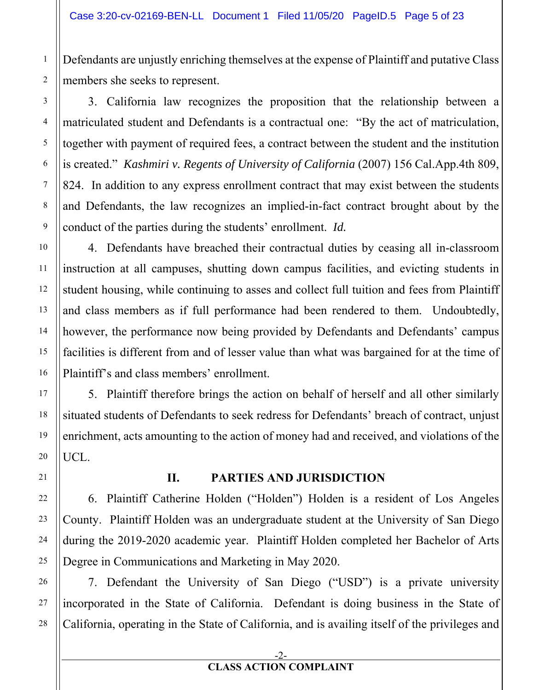Defendants are unjustly enriching themselves at the expense of Plaintiff and putative Class members she seeks to represent.

3. California law recognizes the proposition that the relationship between a matriculated student and Defendants is a contractual one: "By the act of matriculation, together with payment of required fees, a contract between the student and the institution is created." *Kashmiri v. Regents of University of California* (2007) 156 Cal.App.4th 809, 824. In addition to any express enrollment contract that may exist between the students and Defendants, the law recognizes an implied-in-fact contract brought about by the conduct of the parties during the students' enrollment. *Id.*

4. Defendants have breached their contractual duties by ceasing all in-classroom instruction at all campuses, shutting down campus facilities, and evicting students in student housing, while continuing to asses and collect full tuition and fees from Plaintiff and class members as if full performance had been rendered to them. Undoubtedly, however, the performance now being provided by Defendants and Defendants' campus facilities is different from and of lesser value than what was bargained for at the time of Plaintiff's and class members' enrollment.

5. Plaintiff therefore brings the action on behalf of herself and all other similarly situated students of Defendants to seek redress for Defendants' breach of contract, unjust enrichment, acts amounting to the action of money had and received, and violations of the UCL.

#### **II. PARTIES AND JURISDICTION**

6. Plaintiff Catherine Holden ("Holden") Holden is a resident of Los Angeles County. Plaintiff Holden was an undergraduate student at the University of San Diego during the 2019-2020 academic year. Plaintiff Holden completed her Bachelor of Arts Degree in Communications and Marketing in May 2020.

7. Defendant the University of San Diego ("USD") is a private university incorporated in the State of California. Defendant is doing business in the State of California, operating in the State of California, and is availing itself of the privileges and

#### -2- **CLASS ACTION COMPLAINT**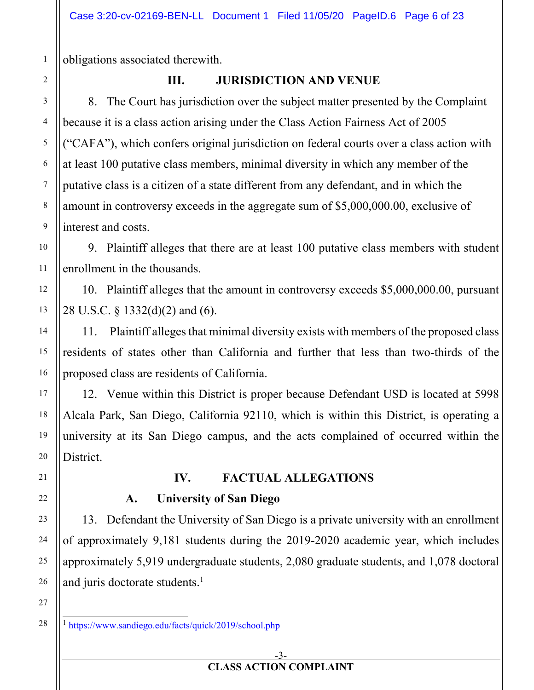obligations associated therewith.

# **III. JURISDICTION AND VENUE**

8. The Court has jurisdiction over the subject matter presented by the Complaint because it is a class action arising under the Class Action Fairness Act of 2005 ("CAFA"), which confers original jurisdiction on federal courts over a class action with at least 100 putative class members, minimal diversity in which any member of the putative class is a citizen of a state different from any defendant, and in which the amount in controversy exceeds in the aggregate sum of \$5,000,000.00, exclusive of interest and costs.

9. Plaintiff alleges that there are at least 100 putative class members with student enrollment in the thousands.

10. Plaintiff alleges that the amount in controversy exceeds \$5,000,000.00, pursuant 28 U.S.C. § 1332(d)(2) and (6).

11. Plaintiff alleges that minimal diversity exists with members of the proposed class residents of states other than California and further that less than two-thirds of the proposed class are residents of California.

12. Venue within this District is proper because Defendant USD is located at 5998 Alcala Park, San Diego, California 92110, which is within this District, is operating a university at its San Diego campus, and the acts complained of occurred within the District.

**IV. FACTUAL ALLEGATIONS** 

# **A. University of San Diego**

13. Defendant the University of San Diego is a private university with an enrollment of approximately 9,181 students during the 2019-2020 academic year, which includes approximately 5,919 undergraduate students, 2,080 graduate students, and 1,078 doctoral and juris doctorate students.<sup>1</sup>

<sup>&</sup>lt;sup>1</sup> https://www.sandiego.edu/facts/quick/2019/school.php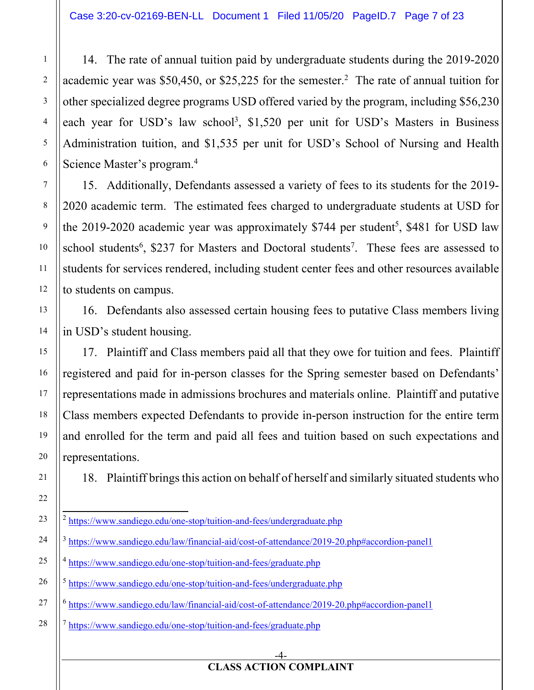14. The rate of annual tuition paid by undergraduate students during the 2019-2020 academic year was \$50,450, or \$25,225 for the semester.<sup>2</sup> The rate of annual tuition for other specialized degree programs USD offered varied by the program, including \$56,230 each year for USD's law school<sup>3</sup>, \$1,520 per unit for USD's Masters in Business Administration tuition, and \$1,535 per unit for USD's School of Nursing and Health Science Master's program.<sup>4</sup>

15. Additionally, Defendants assessed a variety of fees to its students for the 2019- 2020 academic term. The estimated fees charged to undergraduate students at USD for the  $2019-2020$  academic year was approximately \$744 per student<sup>5</sup>, \$481 for USD law school students<sup>6</sup>, \$237 for Masters and Doctoral students<sup>7</sup>. These fees are assessed to students for services rendered, including student center fees and other resources available to students on campus.

16. Defendants also assessed certain housing fees to putative Class members living in USD's student housing.

17. Plaintiff and Class members paid all that they owe for tuition and fees. Plaintiff registered and paid for in-person classes for the Spring semester based on Defendants' representations made in admissions brochures and materials online. Plaintiff and putative Class members expected Defendants to provide in-person instruction for the entire term and enrolled for the term and paid all fees and tuition based on such expectations and representations.

18. Plaintiff brings this action on behalf of herself and similarly situated students who

<sup>7</sup> https://www.sandiego.edu/one-stop/tuition-and-fees/graduate.php

#### -4-

<sup>&</sup>lt;sup>2</sup> https://www.sandiego.edu/one-stop/tuition-and-fees/undergraduate.php

https://www.sandiego.edu/law/financial-aid/cost-of-attendance/2019-20.php#accordion-panel1

<sup>4</sup> https://www.sandiego.edu/one-stop/tuition-and-fees/graduate.php

<sup>5</sup> https://www.sandiego.edu/one-stop/tuition-and-fees/undergraduate.php

<sup>6</sup> https://www.sandiego.edu/law/financial-aid/cost-of-attendance/2019-20.php#accordion-panel1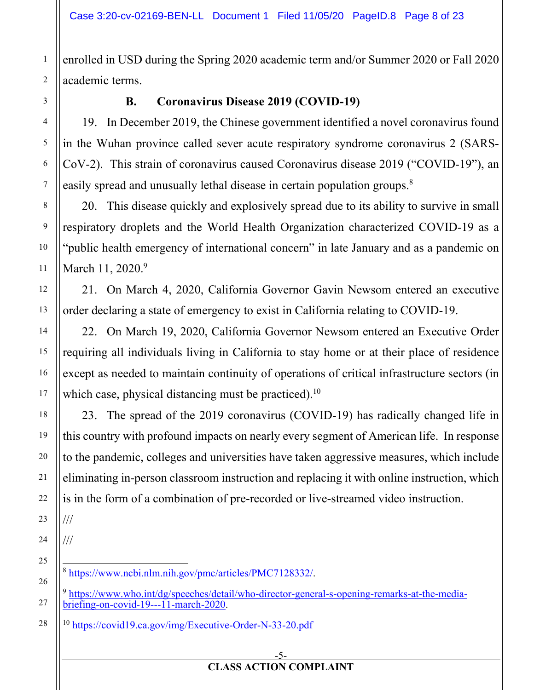enrolled in USD during the Spring 2020 academic term and/or Summer 2020 or Fall 2020 academic terms.

1

2

3

4

5

6

7

8

# **B. Coronavirus Disease 2019 (COVID-19)**

19. In December 2019, the Chinese government identified a novel coronavirus found in the Wuhan province called sever acute respiratory syndrome coronavirus 2 (SARS-CoV-2). This strain of coronavirus caused Coronavirus disease 2019 ("COVID-19"), an easily spread and unusually lethal disease in certain population groups.<sup>8</sup>

20. This disease quickly and explosively spread due to its ability to survive in small respiratory droplets and the World Health Organization characterized COVID-19 as a "public health emergency of international concern" in late January and as a pandemic on March 11, 2020.<sup>9</sup>

21. On March 4, 2020, California Governor Gavin Newsom entered an executive order declaring a state of emergency to exist in California relating to COVID-19.

22. On March 19, 2020, California Governor Newsom entered an Executive Order requiring all individuals living in California to stay home or at their place of residence except as needed to maintain continuity of operations of critical infrastructure sectors (in which case, physical distancing must be practiced).<sup>10</sup>

23. The spread of the 2019 coronavirus (COVID-19) has radically changed life in this country with profound impacts on nearly every segment of American life. In response to the pandemic, colleges and universities have taken aggressive measures, which include eliminating in-person classroom instruction and replacing it with online instruction, which is in the form of a combination of pre-recorded or live-streamed video instruction.

///

///

<sup>8</sup> https://www.ncbi.nlm.nih.gov/pmc/articles/PMC7128332/.

<sup>9</sup> https://www.who.int/dg/speeches/detail/who-director-general-s-opening-remarks-at-the-mediabriefing-on-covid-19---11-march-2020.

<sup>10</sup> https://covid19.ca.gov/img/Executive-Order-N-33-20.pdf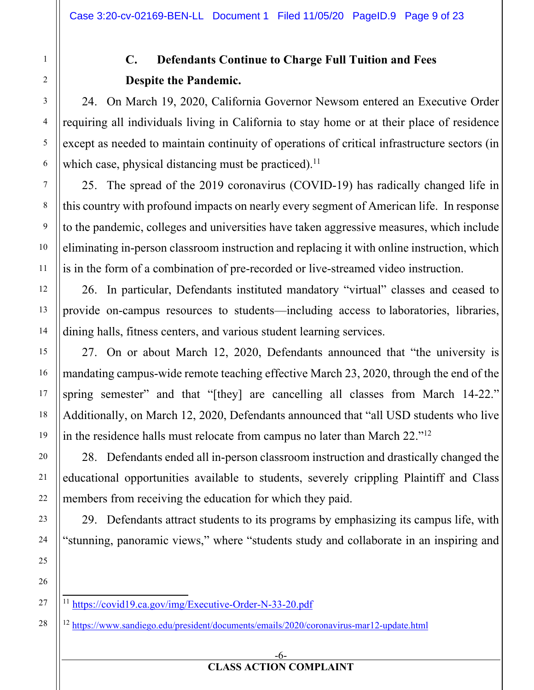# **C. Defendants Continue to Charge Full Tuition and Fees Despite the Pandemic.**

24. On March 19, 2020, California Governor Newsom entered an Executive Order requiring all individuals living in California to stay home or at their place of residence except as needed to maintain continuity of operations of critical infrastructure sectors (in which case, physical distancing must be practiced).<sup>11</sup>

25. The spread of the 2019 coronavirus (COVID-19) has radically changed life in this country with profound impacts on nearly every segment of American life. In response to the pandemic, colleges and universities have taken aggressive measures, which include eliminating in-person classroom instruction and replacing it with online instruction, which is in the form of a combination of pre-recorded or live-streamed video instruction.

26. In particular, Defendants instituted mandatory "virtual" classes and ceased to provide on-campus resources to students—including access to laboratories, libraries, dining halls, fitness centers, and various student learning services.

27. On or about March 12, 2020, Defendants announced that "the university is mandating campus-wide remote teaching effective March 23, 2020, through the end of the spring semester" and that "[they] are cancelling all classes from March 14-22." Additionally, on March 12, 2020, Defendants announced that "all USD students who live in the residence halls must relocate from campus no later than March 22."12

28. Defendants ended all in-person classroom instruction and drastically changed the educational opportunities available to students, severely crippling Plaintiff and Class members from receiving the education for which they paid.

29. Defendants attract students to its programs by emphasizing its campus life, with "stunning, panoramic views," where "students study and collaborate in an inspiring and

<sup>11</sup> https://covid19.ca.gov/img/Executive-Order-N-33-20.pdf

<sup>12</sup> https://www.sandiego.edu/president/documents/emails/2020/coronavirus-mar12-update.html

28

1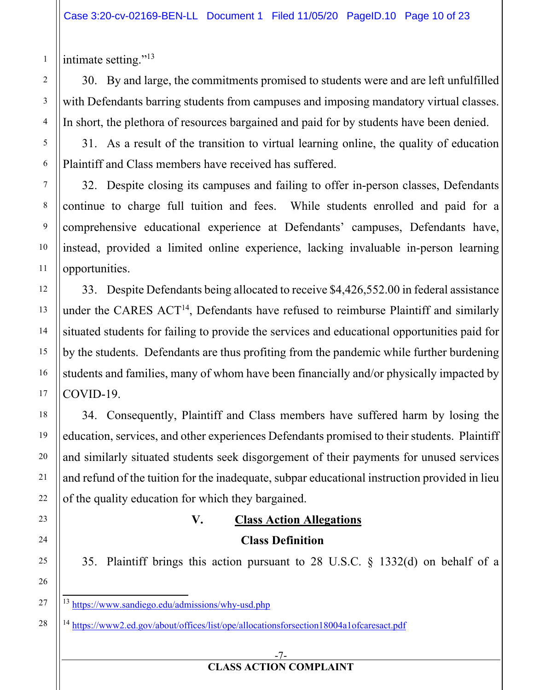intimate setting."13

1

2

3

4

5

6

7

8

9

10

11

12

13

14

15

16

17

18

19

20

21

22

23

24

25

26

27

28

30. By and large, the commitments promised to students were and are left unfulfilled with Defendants barring students from campuses and imposing mandatory virtual classes. In short, the plethora of resources bargained and paid for by students have been denied.

31. As a result of the transition to virtual learning online, the quality of education Plaintiff and Class members have received has suffered.

32. Despite closing its campuses and failing to offer in-person classes, Defendants continue to charge full tuition and fees. While students enrolled and paid for a comprehensive educational experience at Defendants' campuses, Defendants have, instead, provided a limited online experience, lacking invaluable in-person learning opportunities.

33. Despite Defendants being allocated to receive \$4,426,552.00 in federal assistance under the CARES  $ACT<sup>14</sup>$ , Defendants have refused to reimburse Plaintiff and similarly situated students for failing to provide the services and educational opportunities paid for by the students. Defendants are thus profiting from the pandemic while further burdening students and families, many of whom have been financially and/or physically impacted by COVID-19.

34. Consequently, Plaintiff and Class members have suffered harm by losing the education, services, and other experiences Defendants promised to their students. Plaintiff and similarly situated students seek disgorgement of their payments for unused services and refund of the tuition for the inadequate, subpar educational instruction provided in lieu of the quality education for which they bargained.

# **V. Class Action Allegations Class Definition**

35. Plaintiff brings this action pursuant to 28 U.S.C. § 1332(d) on behalf of a

-7-

<sup>13</sup> https://www.sandiego.edu/admissions/why-usd.php

<sup>14</sup> https://www2.ed.gov/about/offices/list/ope/allocationsforsection18004a1ofcaresact.pdf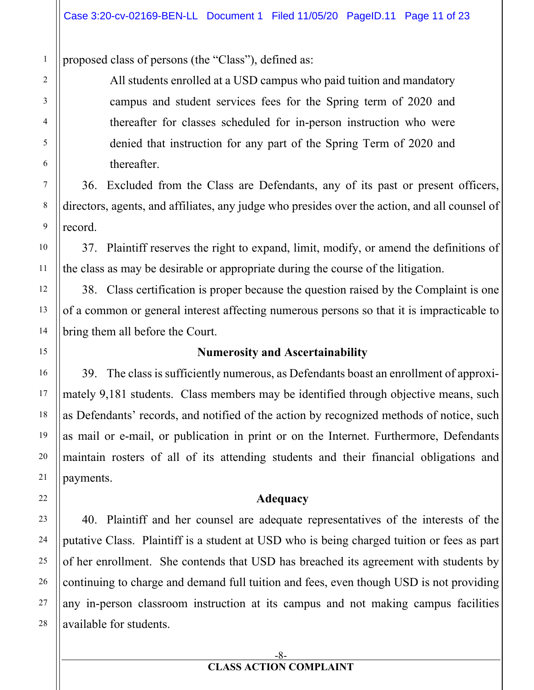proposed class of persons (the "Class"), defined as:

All students enrolled at a USD campus who paid tuition and mandatory campus and student services fees for the Spring term of 2020 and thereafter for classes scheduled for in-person instruction who were denied that instruction for any part of the Spring Term of 2020 and thereafter.

36. Excluded from the Class are Defendants, any of its past or present officers, directors, agents, and affiliates, any judge who presides over the action, and all counsel of record.

37. Plaintiff reserves the right to expand, limit, modify, or amend the definitions of the class as may be desirable or appropriate during the course of the litigation.

38. Class certification is proper because the question raised by the Complaint is one of a common or general interest affecting numerous persons so that it is impracticable to bring them all before the Court.

### **Numerosity and Ascertainability**

39. The class is sufficiently numerous, as Defendants boast an enrollment of approximately 9,181 students. Class members may be identified through objective means, such as Defendants' records, and notified of the action by recognized methods of notice, such as mail or e-mail, or publication in print or on the Internet. Furthermore, Defendants maintain rosters of all of its attending students and their financial obligations and payments.

### **Adequacy**

40. Plaintiff and her counsel are adequate representatives of the interests of the putative Class. Plaintiff is a student at USD who is being charged tuition or fees as part of her enrollment. She contends that USD has breached its agreement with students by continuing to charge and demand full tuition and fees, even though USD is not providing any in-person classroom instruction at its campus and not making campus facilities available for students.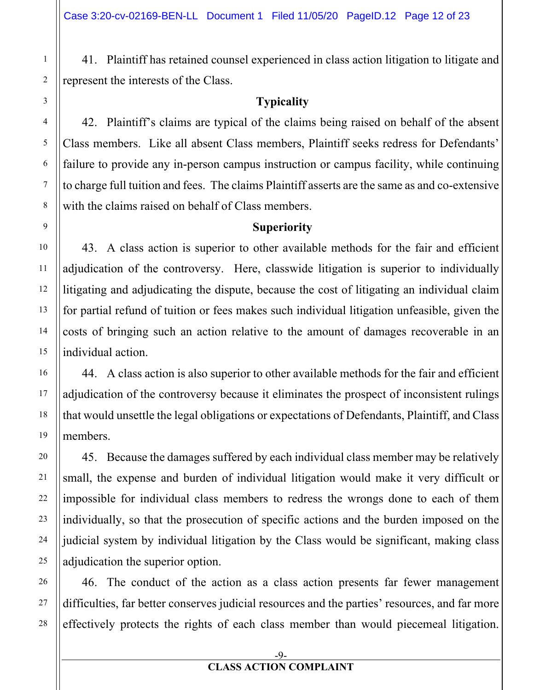41. Plaintiff has retained counsel experienced in class action litigation to litigate and represent the interests of the Class.

### **Typicality**

42. Plaintiff's claims are typical of the claims being raised on behalf of the absent Class members. Like all absent Class members, Plaintiff seeks redress for Defendants' failure to provide any in-person campus instruction or campus facility, while continuing to charge full tuition and fees. The claims Plaintiff asserts are the same as and co-extensive with the claims raised on behalf of Class members.

### **Superiority**

43. A class action is superior to other available methods for the fair and efficient adjudication of the controversy. Here, classwide litigation is superior to individually litigating and adjudicating the dispute, because the cost of litigating an individual claim for partial refund of tuition or fees makes such individual litigation unfeasible, given the costs of bringing such an action relative to the amount of damages recoverable in an individual action.

44. A class action is also superior to other available methods for the fair and efficient adjudication of the controversy because it eliminates the prospect of inconsistent rulings that would unsettle the legal obligations or expectations of Defendants, Plaintiff, and Class members.

45. Because the damages suffered by each individual class member may be relatively small, the expense and burden of individual litigation would make it very difficult or impossible for individual class members to redress the wrongs done to each of them individually, so that the prosecution of specific actions and the burden imposed on the judicial system by individual litigation by the Class would be significant, making class adjudication the superior option.

46. The conduct of the action as a class action presents far fewer management difficulties, far better conserves judicial resources and the parties' resources, and far more effectively protects the rights of each class member than would piecemeal litigation.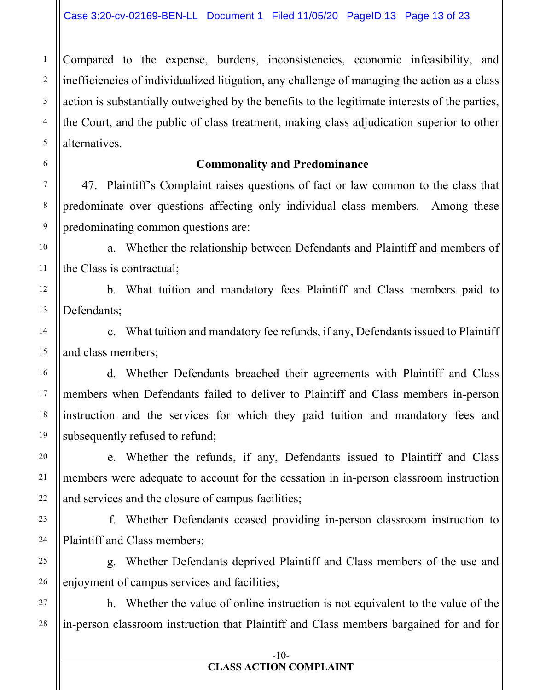Compared to the expense, burdens, inconsistencies, economic infeasibility, and inefficiencies of individualized litigation, any challenge of managing the action as a class action is substantially outweighed by the benefits to the legitimate interests of the parties, the Court, and the public of class treatment, making class adjudication superior to other alternatives.

#### **Commonality and Predominance**

47. Plaintiff's Complaint raises questions of fact or law common to the class that predominate over questions affecting only individual class members. Among these predominating common questions are:

a. Whether the relationship between Defendants and Plaintiff and members of the Class is contractual;

b. What tuition and mandatory fees Plaintiff and Class members paid to Defendants;

c. What tuition and mandatory fee refunds, if any, Defendants issued to Plaintiff and class members;

d. Whether Defendants breached their agreements with Plaintiff and Class members when Defendants failed to deliver to Plaintiff and Class members in-person instruction and the services for which they paid tuition and mandatory fees and subsequently refused to refund;

e. Whether the refunds, if any, Defendants issued to Plaintiff and Class members were adequate to account for the cessation in in-person classroom instruction and services and the closure of campus facilities;

f. Whether Defendants ceased providing in-person classroom instruction to Plaintiff and Class members;

g. Whether Defendants deprived Plaintiff and Class members of the use and enjoyment of campus services and facilities;

h. Whether the value of online instruction is not equivalent to the value of the in-person classroom instruction that Plaintiff and Class members bargained for and for

1

#### -10-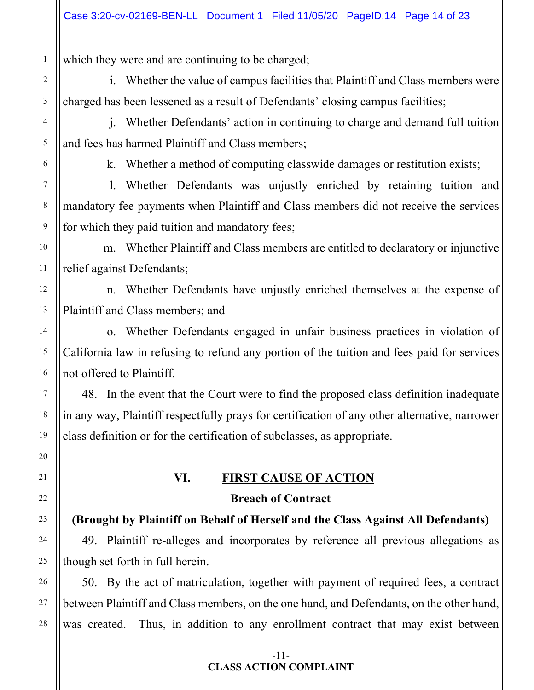which they were and are continuing to be charged;

i. Whether the value of campus facilities that Plaintiff and Class members were charged has been lessened as a result of Defendants' closing campus facilities;

j. Whether Defendants' action in continuing to charge and demand full tuition and fees has harmed Plaintiff and Class members;

k. Whether a method of computing classwide damages or restitution exists;

l. Whether Defendants was unjustly enriched by retaining tuition and mandatory fee payments when Plaintiff and Class members did not receive the services for which they paid tuition and mandatory fees;

m. Whether Plaintiff and Class members are entitled to declaratory or injunctive relief against Defendants;

n. Whether Defendants have unjustly enriched themselves at the expense of Plaintiff and Class members; and

o. Whether Defendants engaged in unfair business practices in violation of California law in refusing to refund any portion of the tuition and fees paid for services not offered to Plaintiff.

48. In the event that the Court were to find the proposed class definition inadequate in any way, Plaintiff respectfully prays for certification of any other alternative, narrower class definition or for the certification of subclasses, as appropriate.

# **VI. FIRST CAUSE OF ACTION Breach of Contract**

**(Brought by Plaintiff on Behalf of Herself and the Class Against All Defendants)** 

49. Plaintiff re-alleges and incorporates by reference all previous allegations as though set forth in full herein.

50. By the act of matriculation, together with payment of required fees, a contract between Plaintiff and Class members, on the one hand, and Defendants, on the other hand, was created. Thus, in addition to any enrollment contract that may exist between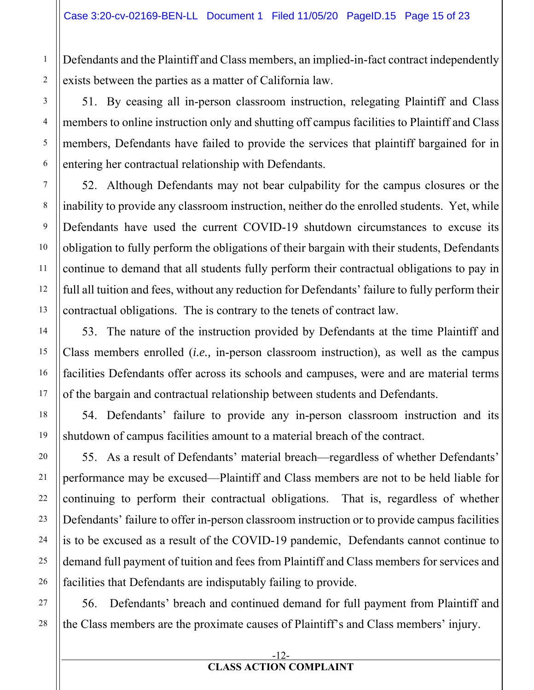Defendants and the Plaintiff and Class members, an implied-in-fact contract independently exists between the parties as a matter of California law.

51. By ceasing all in-person classroom instruction, relegating Plaintiff and Class members to online instruction only and shutting off campus facilities to Plaintiff and Class members, Defendants have failed to provide the services that plaintiff bargained for in entering her contractual relationship with Defendants.

52. Although Defendants may not bear culpability for the campus closures or the inability to provide any classroom instruction, neither do the enrolled students. Yet, while Defendants have used the current COVID-19 shutdown circumstances to excuse its obligation to fully perform the obligations of their bargain with their students, Defendants continue to demand that all students fully perform their contractual obligations to pay in full all tuition and fees, without any reduction for Defendants' failure to fully perform their contractual obligations. The is contrary to the tenets of contract law.

53. The nature of the instruction provided by Defendants at the time Plaintiff and Class members enrolled (*i.e.,* in-person classroom instruction), as well as the campus facilities Defendants offer across its schools and campuses, were and are material terms of the bargain and contractual relationship between students and Defendants.

54. Defendants' failure to provide any in-person classroom instruction and its shutdown of campus facilities amount to a material breach of the contract.

55. As a result of Defendants' material breach—regardless of whether Defendants' performance may be excused—Plaintiff and Class members are not to be held liable for continuing to perform their contractual obligations. That is, regardless of whether Defendants' failure to offer in-person classroom instruction or to provide campus facilities is to be excused as a result of the COVID-19 pandemic, Defendants cannot continue to demand full payment of tuition and fees from Plaintiff and Class members for services and facilities that Defendants are indisputably failing to provide.

56. Defendants' breach and continued demand for full payment from Plaintiff and the Class members are the proximate causes of Plaintiff's and Class members' injury.

#### -12- **CLASS ACTION COMPLAINT**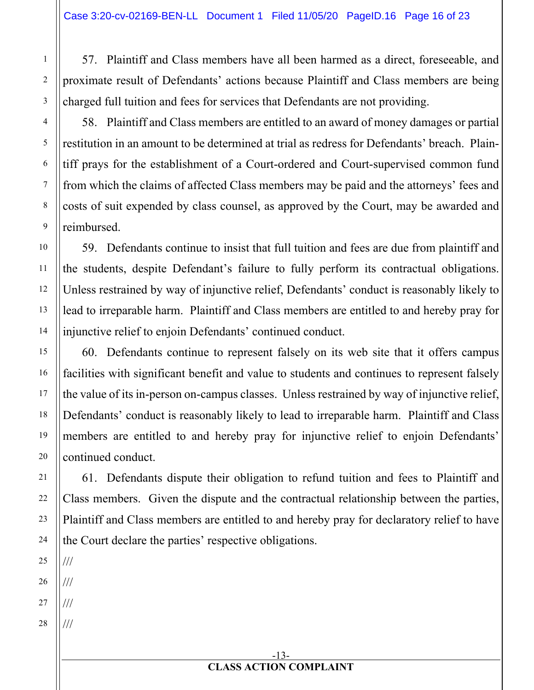57. Plaintiff and Class members have all been harmed as a direct, foreseeable, and proximate result of Defendants' actions because Plaintiff and Class members are being charged full tuition and fees for services that Defendants are not providing.

58. Plaintiff and Class members are entitled to an award of money damages or partial restitution in an amount to be determined at trial as redress for Defendants' breach. Plaintiff prays for the establishment of a Court-ordered and Court-supervised common fund from which the claims of affected Class members may be paid and the attorneys' fees and costs of suit expended by class counsel, as approved by the Court, may be awarded and reimbursed.

59. Defendants continue to insist that full tuition and fees are due from plaintiff and the students, despite Defendant's failure to fully perform its contractual obligations. Unless restrained by way of injunctive relief, Defendants' conduct is reasonably likely to lead to irreparable harm. Plaintiff and Class members are entitled to and hereby pray for injunctive relief to enjoin Defendants' continued conduct.

60. Defendants continue to represent falsely on its web site that it offers campus facilities with significant benefit and value to students and continues to represent falsely the value of its in-person on-campus classes. Unless restrained by way of injunctive relief, Defendants' conduct is reasonably likely to lead to irreparable harm. Plaintiff and Class members are entitled to and hereby pray for injunctive relief to enjoin Defendants' continued conduct.

61. Defendants dispute their obligation to refund tuition and fees to Plaintiff and Class members. Given the dispute and the contractual relationship between the parties, Plaintiff and Class members are entitled to and hereby pray for declaratory relief to have the Court declare the parties' respective obligations.

24 25 26 27 28 /// /// /// ///

1

2

3

4

5

6

7

8

9

10

11

12

13

14

15

16

17

18

19

20

21

22

23

-13- **CLASS ACTION COMPLAINT**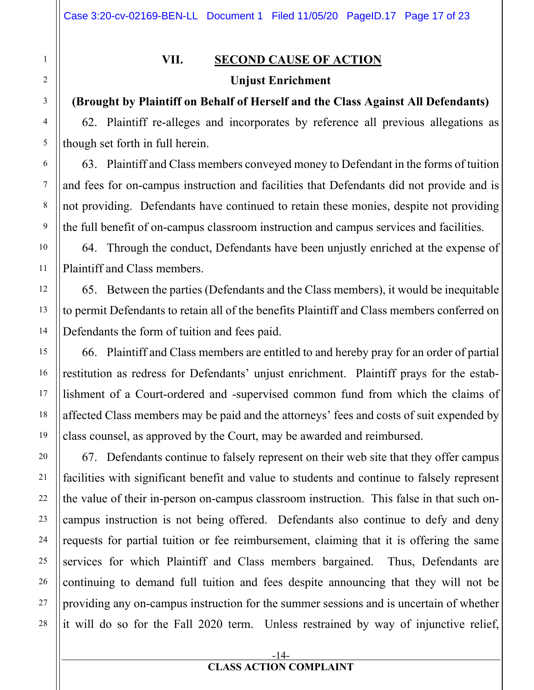# **VII. SECOND CAUSE OF ACTION Unjust Enrichment**

# **(Brought by Plaintiff on Behalf of Herself and the Class Against All Defendants)**

62. Plaintiff re-alleges and incorporates by reference all previous allegations as though set forth in full herein.

63. Plaintiff and Class members conveyed money to Defendant in the forms of tuition and fees for on-campus instruction and facilities that Defendants did not provide and is not providing. Defendants have continued to retain these monies, despite not providing the full benefit of on-campus classroom instruction and campus services and facilities.

64. Through the conduct, Defendants have been unjustly enriched at the expense of Plaintiff and Class members.

65. Between the parties (Defendants and the Class members), it would be inequitable to permit Defendants to retain all of the benefits Plaintiff and Class members conferred on Defendants the form of tuition and fees paid.

66. Plaintiff and Class members are entitled to and hereby pray for an order of partial restitution as redress for Defendants' unjust enrichment. Plaintiff prays for the establishment of a Court-ordered and -supervised common fund from which the claims of affected Class members may be paid and the attorneys' fees and costs of suit expended by class counsel, as approved by the Court, may be awarded and reimbursed.

67. Defendants continue to falsely represent on their web site that they offer campus facilities with significant benefit and value to students and continue to falsely represent the value of their in-person on-campus classroom instruction. This false in that such oncampus instruction is not being offered. Defendants also continue to defy and deny requests for partial tuition or fee reimbursement, claiming that it is offering the same services for which Plaintiff and Class members bargained. Thus, Defendants are continuing to demand full tuition and fees despite announcing that they will not be providing any on-campus instruction for the summer sessions and is uncertain of whether it will do so for the Fall 2020 term. Unless restrained by way of injunctive relief,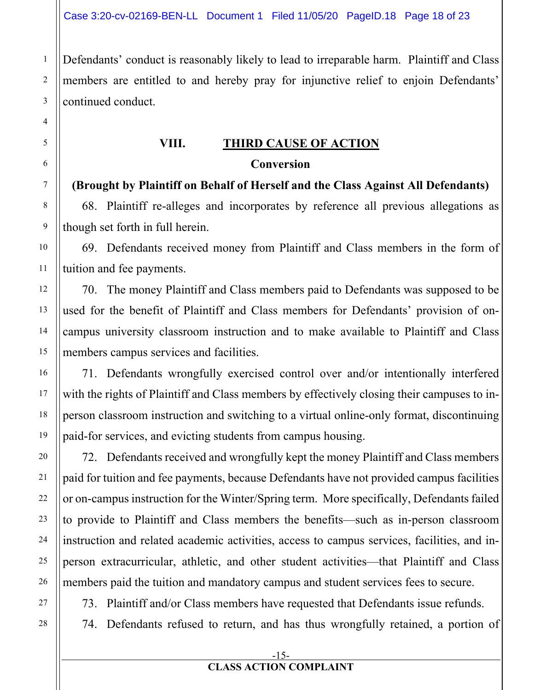Defendants' conduct is reasonably likely to lead to irreparable harm. Plaintiff and Class members are entitled to and hereby pray for injunctive relief to enjoin Defendants' continued conduct.

# **VIII. THIRD CAUSE OF ACTION Conversion**

**(Brought by Plaintiff on Behalf of Herself and the Class Against All Defendants)** 

68. Plaintiff re-alleges and incorporates by reference all previous allegations as though set forth in full herein.

69. Defendants received money from Plaintiff and Class members in the form of tuition and fee payments.

70. The money Plaintiff and Class members paid to Defendants was supposed to be used for the benefit of Plaintiff and Class members for Defendants' provision of oncampus university classroom instruction and to make available to Plaintiff and Class members campus services and facilities.

71. Defendants wrongfully exercised control over and/or intentionally interfered with the rights of Plaintiff and Class members by effectively closing their campuses to inperson classroom instruction and switching to a virtual online-only format, discontinuing paid-for services, and evicting students from campus housing.

72. Defendants received and wrongfully kept the money Plaintiff and Class members paid for tuition and fee payments, because Defendants have not provided campus facilities or on-campus instruction for the Winter/Spring term. More specifically, Defendants failed to provide to Plaintiff and Class members the benefits—such as in-person classroom instruction and related academic activities, access to campus services, facilities, and inperson extracurricular, athletic, and other student activities—that Plaintiff and Class members paid the tuition and mandatory campus and student services fees to secure.

73. Plaintiff and/or Class members have requested that Defendants issue refunds.

74. Defendants refused to return, and has thus wrongfully retained, a portion of

1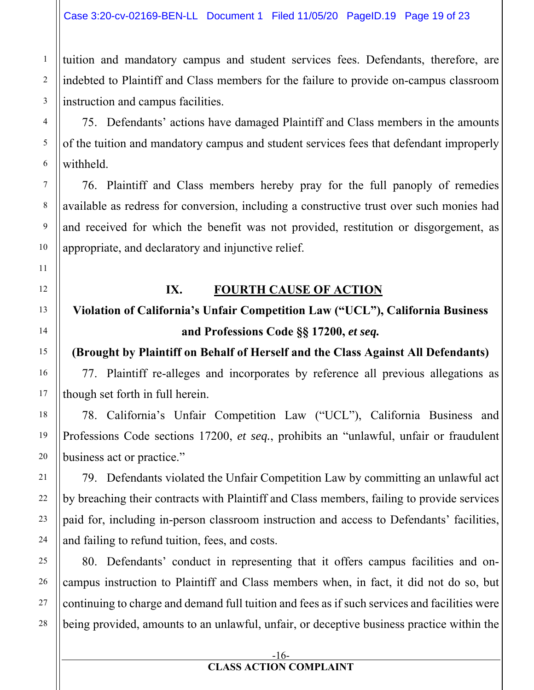tuition and mandatory campus and student services fees. Defendants, therefore, are indebted to Plaintiff and Class members for the failure to provide on-campus classroom instruction and campus facilities.

75. Defendants' actions have damaged Plaintiff and Class members in the amounts of the tuition and mandatory campus and student services fees that defendant improperly withheld.

76. Plaintiff and Class members hereby pray for the full panoply of remedies available as redress for conversion, including a constructive trust over such monies had and received for which the benefit was not provided, restitution or disgorgement, as appropriate, and declaratory and injunctive relief.

# **IX. FOURTH CAUSE OF ACTION**

# **Violation of California's Unfair Competition Law ("UCL"), California Business and Professions Code §§ 17200,** *et seq.*

# **(Brought by Plaintiff on Behalf of Herself and the Class Against All Defendants)**

77. Plaintiff re-alleges and incorporates by reference all previous allegations as though set forth in full herein.

78. California's Unfair Competition Law ("UCL"), California Business and Professions Code sections 17200, *et seq.*, prohibits an "unlawful, unfair or fraudulent business act or practice."

79. Defendants violated the Unfair Competition Law by committing an unlawful act by breaching their contracts with Plaintiff and Class members, failing to provide services paid for, including in-person classroom instruction and access to Defendants' facilities, and failing to refund tuition, fees, and costs.

80. Defendants' conduct in representing that it offers campus facilities and oncampus instruction to Plaintiff and Class members when, in fact, it did not do so, but continuing to charge and demand full tuition and fees as if such services and facilities were being provided, amounts to an unlawful, unfair, or deceptive business practice within the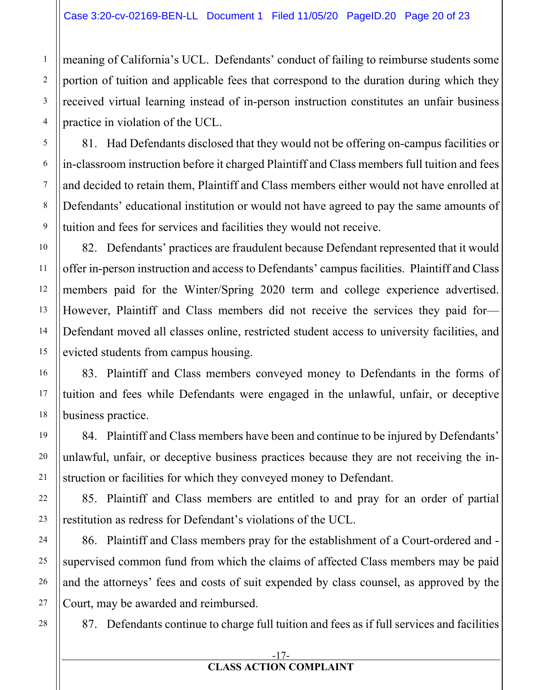meaning of California's UCL. Defendants' conduct of failing to reimburse students some portion of tuition and applicable fees that correspond to the duration during which they received virtual learning instead of in-person instruction constitutes an unfair business practice in violation of the UCL.

81. Had Defendants disclosed that they would not be offering on-campus facilities or in-classroom instruction before it charged Plaintiff and Class members full tuition and fees and decided to retain them, Plaintiff and Class members either would not have enrolled at Defendants' educational institution or would not have agreed to pay the same amounts of tuition and fees for services and facilities they would not receive.

82. Defendants' practices are fraudulent because Defendant represented that it would offer in-person instruction and access to Defendants' campus facilities. Plaintiff and Class members paid for the Winter/Spring 2020 term and college experience advertised. However, Plaintiff and Class members did not receive the services they paid for— Defendant moved all classes online, restricted student access to university facilities, and evicted students from campus housing.

83. Plaintiff and Class members conveyed money to Defendants in the forms of tuition and fees while Defendants were engaged in the unlawful, unfair, or deceptive business practice.

84. Plaintiff and Class members have been and continue to be injured by Defendants' unlawful, unfair, or deceptive business practices because they are not receiving the instruction or facilities for which they conveyed money to Defendant.

85. Plaintiff and Class members are entitled to and pray for an order of partial restitution as redress for Defendant's violations of the UCL.

86. Plaintiff and Class members pray for the establishment of a Court-ordered and supervised common fund from which the claims of affected Class members may be paid and the attorneys' fees and costs of suit expended by class counsel, as approved by the Court, may be awarded and reimbursed.

28

87. Defendants continue to charge full tuition and fees as if full services and facilities

#### -17- **CLASS ACTION COMPLAINT**

1

2

3

4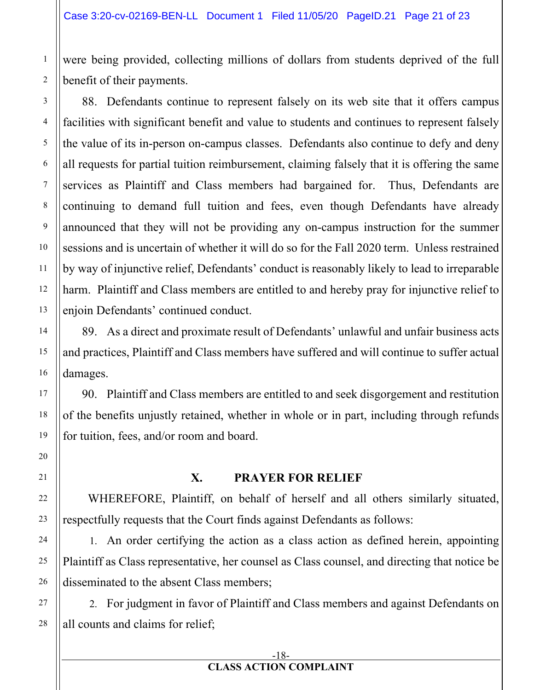were being provided, collecting millions of dollars from students deprived of the full benefit of their payments.

88. Defendants continue to represent falsely on its web site that it offers campus facilities with significant benefit and value to students and continues to represent falsely the value of its in-person on-campus classes. Defendants also continue to defy and deny all requests for partial tuition reimbursement, claiming falsely that it is offering the same services as Plaintiff and Class members had bargained for. Thus, Defendants are continuing to demand full tuition and fees, even though Defendants have already announced that they will not be providing any on-campus instruction for the summer sessions and is uncertain of whether it will do so for the Fall 2020 term. Unless restrained by way of injunctive relief, Defendants' conduct is reasonably likely to lead to irreparable harm. Plaintiff and Class members are entitled to and hereby pray for injunctive relief to enjoin Defendants' continued conduct.

89. As a direct and proximate result of Defendants' unlawful and unfair business acts and practices, Plaintiff and Class members have suffered and will continue to suffer actual damages.

90. Plaintiff and Class members are entitled to and seek disgorgement and restitution of the benefits unjustly retained, whether in whole or in part, including through refunds for tuition, fees, and/or room and board.

### **X. PRAYER FOR RELIEF**

WHEREFORE, Plaintiff, on behalf of herself and all others similarly situated, respectfully requests that the Court finds against Defendants as follows:

1. An order certifying the action as a class action as defined herein, appointing Plaintiff as Class representative, her counsel as Class counsel, and directing that notice be disseminated to the absent Class members;

2. For judgment in favor of Plaintiff and Class members and against Defendants on all counts and claims for relief;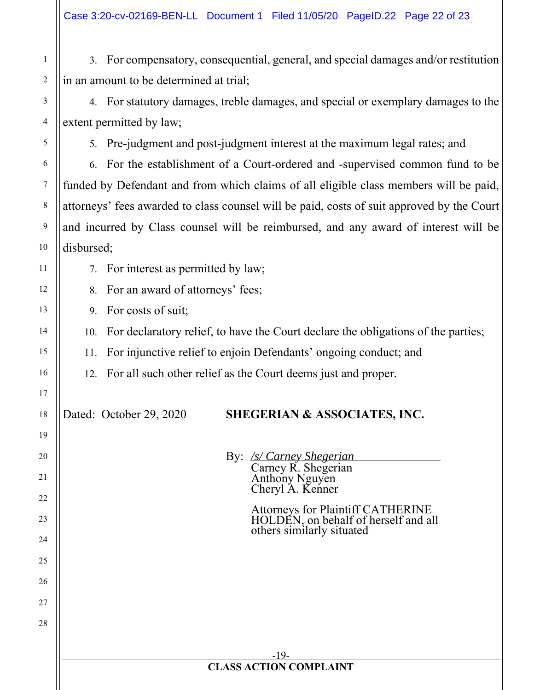3. For compensatory, consequential, general, and special damages and/or restitution in an amount to be determined at trial;

4. For statutory damages, treble damages, and special or exemplary damages to the extent permitted by law;

5. Pre-judgment and post-judgment interest at the maximum legal rates; and

6. For the establishment of a Court-ordered and -supervised common fund to be funded by Defendant and from which claims of all eligible class members will be paid, attorneys' fees awarded to class counsel will be paid, costs of suit approved by the Court and incurred by Class counsel will be reimbursed, and any award of interest will be disbursed;

7. For interest as permitted by law;

8. For an award of attorneys' fees;

9. For costs of suit;

10. For declaratory relief, to have the Court declare the obligations of the parties;

11. For injunctive relief to enjoin Defendants' ongoing conduct; and

12. For all such other relief as the Court deems just and proper.

# Dated: October 29, 2020 **SHEGERIAN & ASSOCIATES, INC.**

By: */s/ Carney Shegerian*  Carney R. Shegerian

Anthony Nguyen Cheryl A. Kenner

Attorneys for Plaintiff CATHERINE HOLDEN, on behalf of herself and all others similarly situated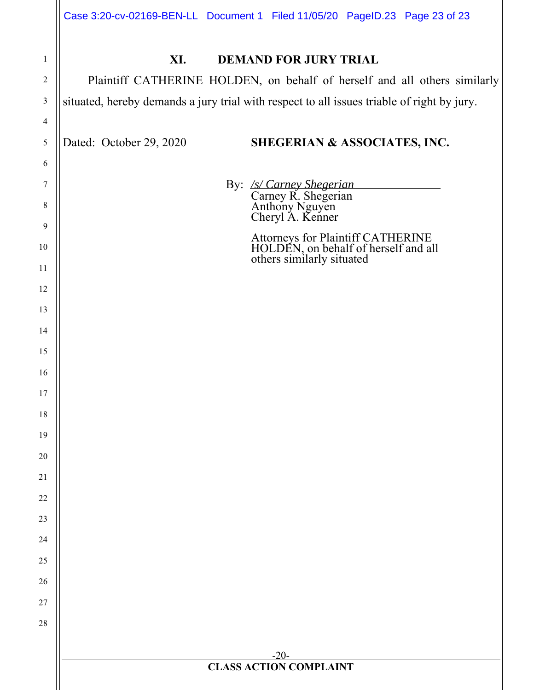| Case 3:20-cv-02169-BEN-LL Document 1 Filed 11/05/20 PageID.23 Page 23 of 23 |  |  |
|-----------------------------------------------------------------------------|--|--|
|                                                                             |  |  |

| $\mathbf{1}$   | XI.<br><b>DEMAND FOR JURY TRIAL</b>                                                                    |  |  |  |  |  |  |  |  |
|----------------|--------------------------------------------------------------------------------------------------------|--|--|--|--|--|--|--|--|
| $\overline{c}$ | Plaintiff CATHERINE HOLDEN, on behalf of herself and all others similarly                              |  |  |  |  |  |  |  |  |
| 3              | situated, hereby demands a jury trial with respect to all issues triable of right by jury.             |  |  |  |  |  |  |  |  |
| 4              |                                                                                                        |  |  |  |  |  |  |  |  |
| 5              | Dated: October 29, 2020<br>SHEGERIAN & ASSOCIATES, INC.                                                |  |  |  |  |  |  |  |  |
| 6              |                                                                                                        |  |  |  |  |  |  |  |  |
| 7              | By: /s/ Carney Shegerian                                                                               |  |  |  |  |  |  |  |  |
| 8              | Carney R. Shegerian<br>Anthony Nguyen<br>Cheryl A. Kenner                                              |  |  |  |  |  |  |  |  |
| $\overline{9}$ |                                                                                                        |  |  |  |  |  |  |  |  |
| 10             | Attorneys for Plaintiff CATHERINE<br>HOLDEN, on behalf of herself and all<br>others similarly situated |  |  |  |  |  |  |  |  |
| 11<br>12       |                                                                                                        |  |  |  |  |  |  |  |  |
| 13             |                                                                                                        |  |  |  |  |  |  |  |  |
| 14             |                                                                                                        |  |  |  |  |  |  |  |  |
| 15             |                                                                                                        |  |  |  |  |  |  |  |  |
| 16             |                                                                                                        |  |  |  |  |  |  |  |  |
| 17             |                                                                                                        |  |  |  |  |  |  |  |  |
| 18             |                                                                                                        |  |  |  |  |  |  |  |  |
| 19             |                                                                                                        |  |  |  |  |  |  |  |  |
| 20             |                                                                                                        |  |  |  |  |  |  |  |  |
| 21             |                                                                                                        |  |  |  |  |  |  |  |  |
| 22             |                                                                                                        |  |  |  |  |  |  |  |  |
| 23             |                                                                                                        |  |  |  |  |  |  |  |  |
| 24             |                                                                                                        |  |  |  |  |  |  |  |  |
| 25             |                                                                                                        |  |  |  |  |  |  |  |  |
| 26             |                                                                                                        |  |  |  |  |  |  |  |  |
| 27             |                                                                                                        |  |  |  |  |  |  |  |  |
| $28\,$         |                                                                                                        |  |  |  |  |  |  |  |  |
|                |                                                                                                        |  |  |  |  |  |  |  |  |
|                | $-20-$<br><b>CLASS ACTION COMPLAINT</b>                                                                |  |  |  |  |  |  |  |  |
|                |                                                                                                        |  |  |  |  |  |  |  |  |